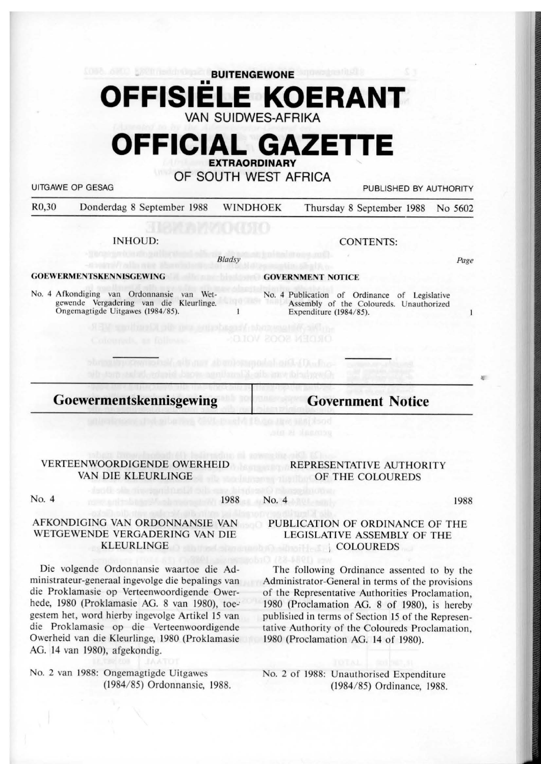# **BUITENGEWONE**  •• **OFFISIELE KOERANT**  VAN SUIDWES-AFRIKA

# **OFFICIAL GAZETTE EXTRAORDINARY**

OF SOUTH WEST AFRICA

UITGAWE OP GESAG **PUBLISHED BY AUTHORITY** 

R0,30 Donderdag 8 Seplember 1988 WINDHOEK Thursday 8 September 1988 No 5602

INHOUD:

*8/adsy* 

#### **GOEWERMENTSKENNISGEWING**

No. 4 Afkondiging van Ordonnansie van Wetgewende Vergadering van die Kleurlinge. Ongemagtigde Uitgawes (1984/85).

### CONTENTS:

*Page* 

 $\mathbf{1}$ 

r

#### **GOVERNMENT NOTICE**

No. 4 Publication of Ordinance of Legislative Assembly of the Coloureds. Unauthorized Expenditure (1984/85).

**Goewermentskennisgewing** 

**Government Notice** 

#### VERTEENWOORDIGENDE OWERHEID VAN DIE KLEURLINGE

No. 4 1988

#### AFKONDIGING VAN ORDONNANSIE VAN WETGEWENDE VERGADERING VAN DIE KLEURLINGE

Die volgende Ordonnansie waartoe die Administrateur-generaal ingevolge die bepalings van die Proklamasie op Verteenwoordigende Owerhede, 1980 (Proklamasie AG. 8 van 1980), toegestem het, word hierby ingevolge Artikel 15 van die Proklamasie op die Verteenwoordigende Owerheid van die Kleurlinge, 1980 (Proklamasie AG. 14 van 1980), afgekondig.

No. 2 van 1988: Ongemagtigde Uitgawes (1984/85) Ordonnansie, 1988.

#### REPRESENTATIVE AUTHORITY OF THE COLOUREDS

No. 4

1988

#### PUBLICATION OF ORDINANCE OF THE LEGISLATIVE ASSEMBLY OF THE i COLOUREDS

The following Ordinance assented to by the Administrator-General in terms of the provision of the Representative Authorities Proclamation, 1980 (Proclamation AG. 8 of 1980), is hereby published in terms of Section 15 of the Representative Authority of the Coloureds Proclamation, 1980 (Proclamation AG. 14 of 1980).

No. 2 of 1988: Unauthorised Expenditure (l 984/ 85) Ordinance, 1988.